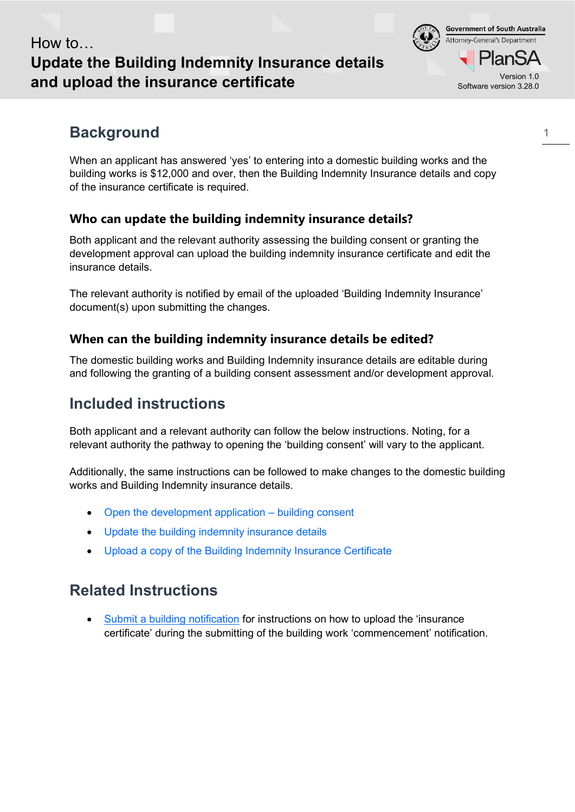## How to… **Update the Building Indemnity Insurance details and upload the insurance certificate**

# **Background**

When an applicant has answered 'yes' to entering into a domestic building works and the building works is \$12,000 and over, then the Building Indemnity Insurance details and copy of the insurance certificate is required.

### **Who can update the building indemnity insurance details?**

Both applicant and the relevant authority assessing the building consent or granting the development approval can upload the building indemnity insurance certificate and edit the insurance details.

The relevant authority is notified by email of the uploaded 'Building Indemnity Insurance' document(s) upon submitting the changes.

### **When can the building indemnity insurance details be edited?**

The domestic building works and Building Indemnity insurance details are editable during and following the granting of a building consent assessment and/or development approval.

# **Included instructions**

Both applicant and a relevant authority can follow the below instructions. Noting, for a relevant authority the pathway to opening the 'building consent' will vary to the applicant.

Additionally, the same instructions can be followed to make changes to the domestic building works and Building Indemnity insurance details.

- Open the development application building consent
- Update the building indemnity insurance details
- Upload a copy of the Building Indemnity Insurance Certificate

## **Related Instructions**

• [Submit a building notification](https://plan.sa.gov.au/__data/assets/pdf_file/0007/719872/Guide_-_Submit_a_Building_Notification.pdf) for instructions on how to upload the 'insurance certificate' during the submitting of the building work 'commencement' notification.

Software version 3.28.0

an:

**Government of South Australia** Attorney-General's Department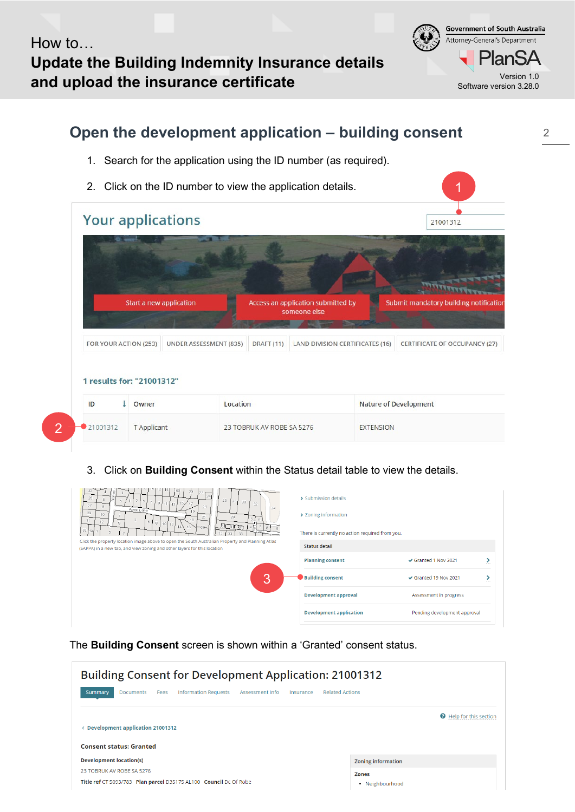How to… **Update the Building Indemnity Insurance details and upload the insurance certificate** Version 1.0

**Government of South Australia** Attorney-General's Department lanSA Software version 3.28.0

#### **Open the development application – building consent** 1. Search for the application using the ID number (as required). 2. Click on the ID number to view the application details. 1 **Your applications** 21001312 Start a new application Access an application submitted by Submit mandatory building notificatio someone else FOR YOUR ACTION (253) **UNDER ASSESSMENT (835)** DRAFT (11) LAND DIVISION CERTIFICATES (16) CERTIFICATE OF OCCUPANCY (27) 1 results for: "21001312" ID **↓** Owner Location **Nature of Development**  $\overline{2}$ 21001312 T Applicant 23 TOBRUK AV ROBE SA 5276 **EXTENSION**

3. Click on **Building Consent** within the Status detail table to view the details.

| 22r<br>$\sqrt{24}$<br>25<br>6.<br>26<br>28<br>30<br>15.<br>32<br>11<br>13 <sub>1</sub><br>27<br>8<br>34<br>Apex Lane<br>29<br>10.<br>29<br>26<br>31<br>$\overline{2}$<br>12.<br>8<br>$\Omega$<br>10J<br>12<br>AI SI SI<br>16<br>$-30-$<br>33 <sub>1</sub><br>33<br>33<br>33<br>Click the property location image above to open the South Australian Property and Planning Atlas | > Submission details<br>> Zoning information<br>There is currently no action required from you. |                                     |
|---------------------------------------------------------------------------------------------------------------------------------------------------------------------------------------------------------------------------------------------------------------------------------------------------------------------------------------------------------------------------------|-------------------------------------------------------------------------------------------------|-------------------------------------|
| (SAPPA) in a new tab, and view zoning and other layers for this location                                                                                                                                                                                                                                                                                                        | <b>Status detail</b>                                                                            |                                     |
|                                                                                                                                                                                                                                                                                                                                                                                 | <b>Planning consent</b>                                                                         | Granted 1 Nov 2021<br>▸<br>since.   |
| 3                                                                                                                                                                                                                                                                                                                                                                               | <b>Building consent</b>                                                                         | Granted 19 Nov 2021<br><b>ALL 1</b> |
|                                                                                                                                                                                                                                                                                                                                                                                 | <b>Development approval</b>                                                                     | Assessment in progress              |
|                                                                                                                                                                                                                                                                                                                                                                                 | <b>Development application</b>                                                                  | Pending development approval        |

The **Building Consent** screen is shown within a 'Granted' consent status.

| <b>Building Consent for Development Application: 21001312</b>                                                                       |                                |
|-------------------------------------------------------------------------------------------------------------------------------------|--------------------------------|
| <b>Information Requests</b><br><b>Summary</b><br>Assessment Info<br><b>Related Actions</b><br><b>Documents</b><br>Fees<br>Insurance |                                |
| <b>Development application 21001312</b>                                                                                             | <b>O</b> Help for this section |
| <b>Consent status: Granted</b>                                                                                                      |                                |
| <b>Development location(s)</b>                                                                                                      | <b>Zoning information</b>      |
| 23 TOBRUK AV ROBE SA 5276                                                                                                           | <b>Zones</b>                   |
| Title ref CT 5093/783 Plan parcel D35175 AL100 Council Dc Of Robe                                                                   | • Neighbourhood                |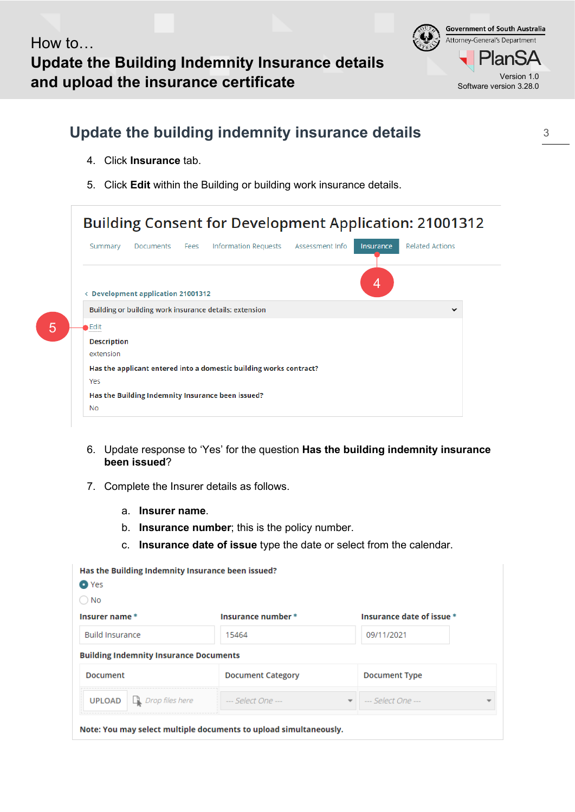**Government of South Australia** Attorney-General's Department -lan9 Software version 3.28.0

# **Update the building indemnity insurance details**

4. Click **Insurance** tab.

5

5. Click **Edit** within the Building or building work insurance details.

| Summary            | Documents Fees                     | Information Requests Assessment Info                               | Insurance | <b>Related Actions</b> |
|--------------------|------------------------------------|--------------------------------------------------------------------|-----------|------------------------|
|                    | ← Development application 21001312 |                                                                    | 4         |                        |
|                    |                                    | Building or building work insurance details: extension             |           | $\checkmark$           |
| •Edit              |                                    |                                                                    |           |                        |
| <b>Description</b> |                                    |                                                                    |           |                        |
| extension          |                                    |                                                                    |           |                        |
|                    |                                    | Has the applicant entered into a domestic building works contract? |           |                        |
| Yes                |                                    |                                                                    |           |                        |
|                    |                                    | Has the Building Indemnity Insurance been issued?                  |           |                        |
|                    |                                    |                                                                    |           |                        |

- 6. Update response to 'Yes' for the question **Has the building indemnity insurance been issued**?
- 7. Complete the Insurer details as follows.
	- a. **Insurer name**.
	- b. **Insurance number**; this is the policy number.
	- c. **Insurance date of issue** type the date or select from the calendar.

| $\bigcirc$ No                                 |                          |                          |                           |
|-----------------------------------------------|--------------------------|--------------------------|---------------------------|
| Insurer name *                                | Insurance number *       |                          | Insurance date of issue * |
| <b>Build Insurance</b>                        | 15464                    |                          | 09/11/2021                |
| <b>Building Indemnity Insurance Documents</b> |                          |                          |                           |
| Document                                      | <b>Document Category</b> |                          | <b>Document Type</b>      |
| $\Box$ Drop files here<br><b>UPLOAD</b>       | --- Select One ---       | $\overline{\phantom{a}}$ | --- Select One ---        |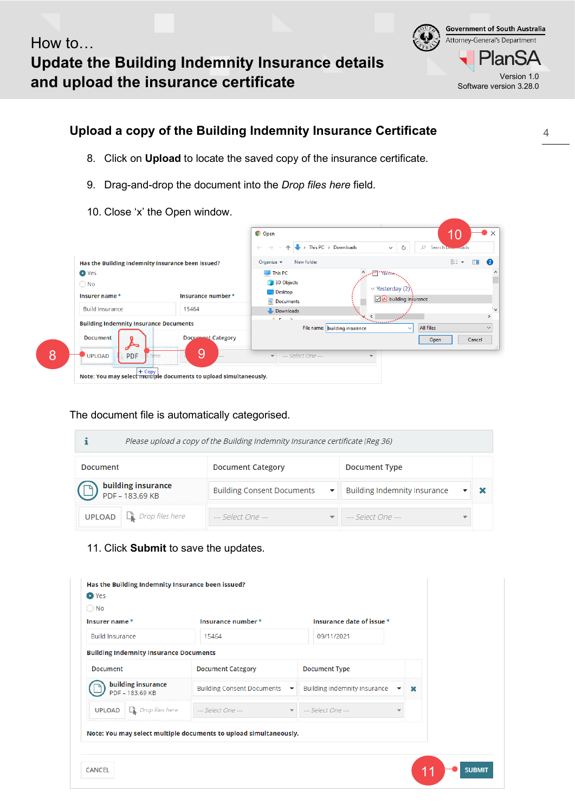**Government of South Australia** Attorney-General's Department -lanSA Software version 3.28.0

## **Upload a copy of the Building Indemnity Insurance Certificate**

- 8. Click on **Upload** to locate the saved copy of the insurance certificate.
- 9. Drag-and-drop the document into the *Drop files here* field.
- 10. Close 'x' the Open window.



The document file is automatically categorised.

|               |                                              | Please upload a copy of the Building Indemnity Insurance certificate (Reg 36) |                                     |  |
|---------------|----------------------------------------------|-------------------------------------------------------------------------------|-------------------------------------|--|
| Document      |                                              | <b>Document Category</b>                                                      | Document Type                       |  |
|               | <b>building insurance</b><br>PDF - 183.69 KB | <b>Building Consent Documents</b><br>$\overline{\phantom{a}}$                 | <b>Building Indemnity Insurance</b> |  |
| <b>UPLOAD</b> | $\Box$ Drop files here                       | --- Select One ---                                                            | --- Select One ---                  |  |

#### 11. Click **Submit** to save the updates.

| $\bigcirc$ No          |                                                                              |                                                                   | Insurance date of issue *    |             |
|------------------------|------------------------------------------------------------------------------|-------------------------------------------------------------------|------------------------------|-------------|
| Insurer name*          |                                                                              | Insurance number *                                                |                              |             |
| <b>Build Insurance</b> |                                                                              | 15464                                                             | 09/11/2021                   |             |
|                        | <b>Building Indemnity Insurance Documents</b>                                |                                                                   |                              |             |
| <b>Document</b>        |                                                                              | <b>Document Category</b>                                          | <b>Document Type</b>         |             |
|                        | building insurance<br>PDF - 183.69 KB                                        | Building Consent Documents ▼                                      | Building Indemnity Insurance | $\mathbf x$ |
|                        | <b>UPLOAD</b> $\Box$ <i>Drop files here</i> $\Box$ <i>--- Select One ---</i> | $\overline{\phantom{a}}$                                          | --- Select One ---           |             |
|                        |                                                                              | Note: You may select multiple documents to upload simultaneously. |                              |             |